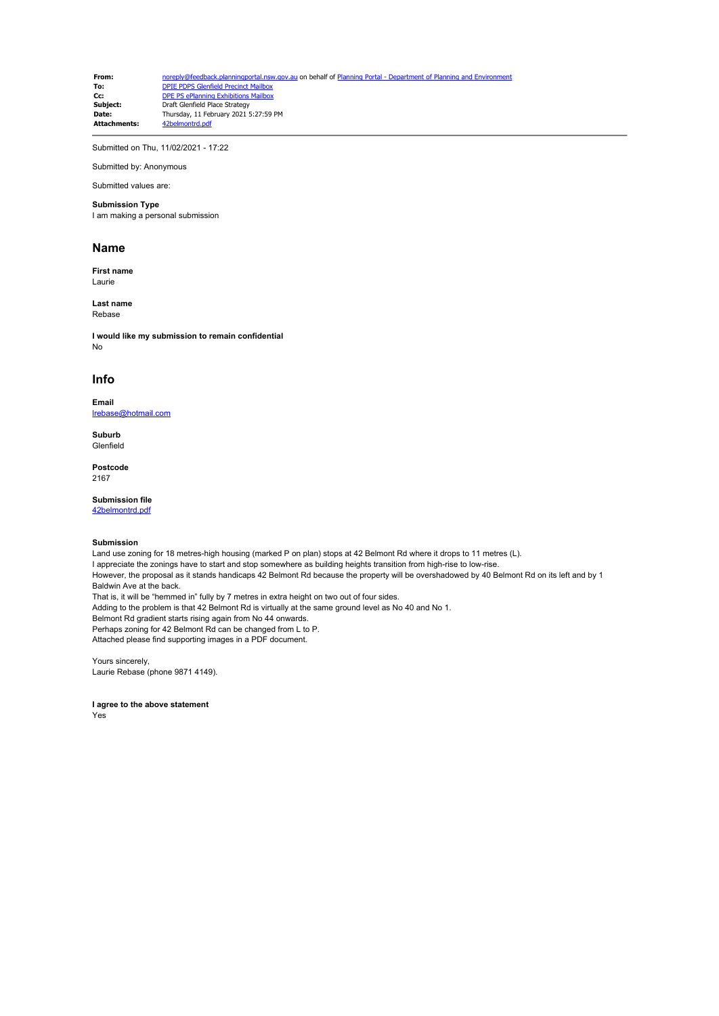From: [noreply@feedback.planningportal.nsw.gov.au](mailto:noreply@feedback.planningportal.nsw.gov.au) on behalf of [Planning Portal - Department of Planning and Environment](mailto:noreply@feedback.planningportal.nsw.gov.au) of Planning and Environment of Planning and Environment of Planning and Environment of Planning and Env **To:** [DPIE PDPS Glenfield Precinct Mailbox](mailto:glenfield.precinct@planning.nsw.gov.au)<br> **Cc:** [DPE PS ePlanning Exhibitions Mailbox](mailto:eplanning.exhibitions@planning.nsw.gov.au) **Subject:** Draft Glenfield Place Strategy<br> **Date:** Thursday 11 February 2021 **Date:** Thursday, 11 February 2021 5:27:59 PM **Attachments:** 

Submitted on Thu, 11/02/2021 - 17:22

Submitted by: Anonymous Submitted values are:

# **Submission Type**

I am making a personal submission

#### **Name**

**First name** Laurie

**Last name** Rebase

**I would like my submission to remain confidential** No

## **Info**

**Email** [lrebase@hotmail.com](mailto:lrebase@hotmail.com)

**Suburb** Glenfield

**Postcode** 2167

### **Submission file**

[42belmontrd.pdf](https://pp.planningportal.nsw.gov.au/system/files/webform/draft_plans_glenfield/118646/42belmontrd.pdf)

### **Submission**

Land use zoning for 18 metres-high housing (marked P on plan) stops at 42 Belmont Rd where it drops to 11 metres (L). I appreciate the zonings have to start and stop somewhere as building heights transition from high-rise to low-rise. However, the proposal as it stands handicaps 42 Belmont Rd because the property will be overshadowed by 40 Belmont Rd on its left and by 1 Baldwin Ave at the back. That is, it will be "hemmed in" fully by 7 metres in extra height on two out of four sides. Adding to the problem is that 42 Belmont Rd is virtually at the same ground level as No 40 and No 1. Belmont Rd gradient starts rising again from No 44 onwards. Perhaps zoning for 42 Belmont Rd can be changed from L to P. Attached please find supporting images in a PDF document.

Yours sincerely, Laurie Rebase (phone 9871 4149).

**I agree to the above statement** Yes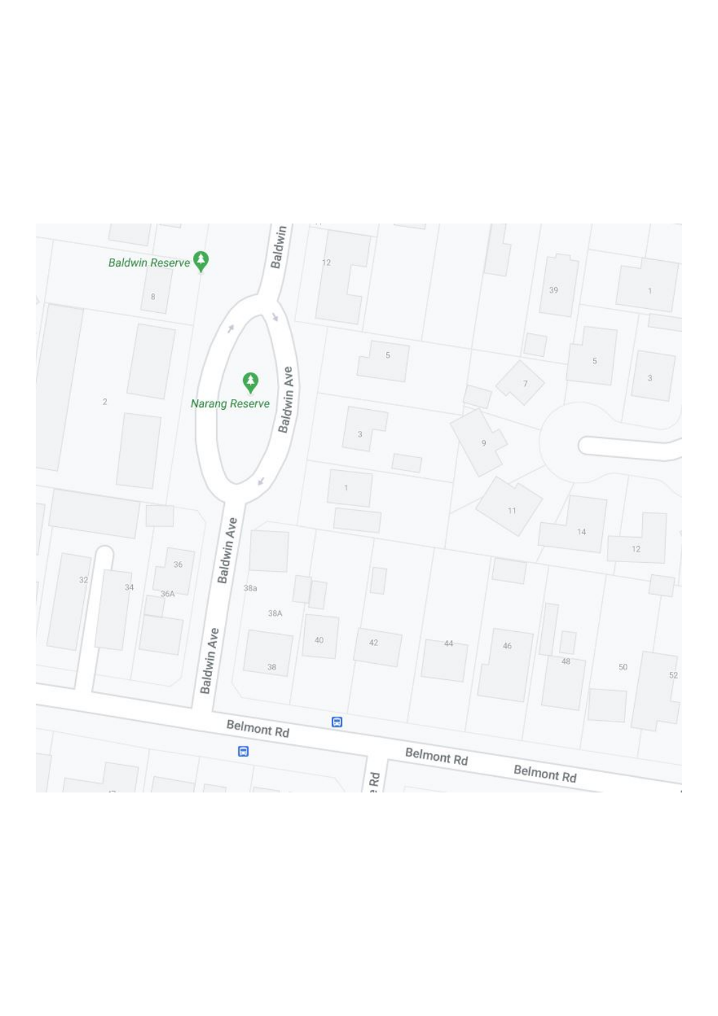